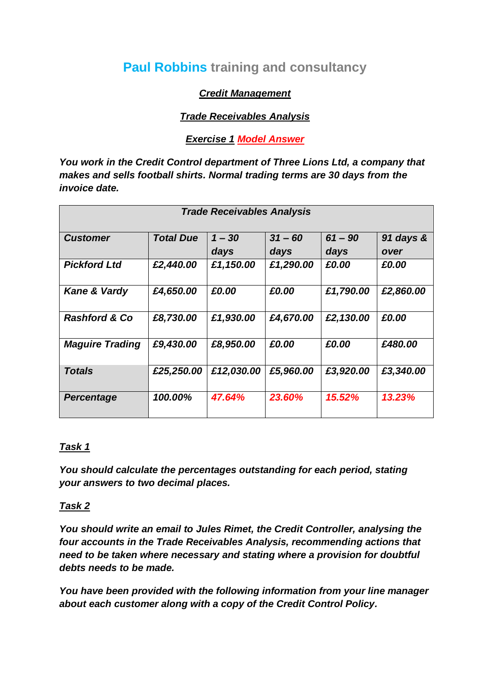# **Paul Robbins training and consultancy**

## *Credit Management*

## *Trade Receivables Analysis*

### *Exercise 1 Model Answer*

*You work in the Credit Control department of Three Lions Ltd, a company that makes and sells football shirts. Normal trading terms are 30 days from the invoice date.*

| <b>Trade Receivables Analysis</b> |                  |                  |                   |                   |                   |  |  |
|-----------------------------------|------------------|------------------|-------------------|-------------------|-------------------|--|--|
| <b>Customer</b>                   | <b>Total Due</b> | $1 - 30$<br>days | $31 - 60$<br>days | $61 - 90$<br>days | 91 days &<br>over |  |  |
| <b>Pickford Ltd</b>               | £2,440.00        | £1,150.00        | £1,290.00         | £0.00             | £0.00             |  |  |
| Kane & Vardy                      | £4,650.00        | £0.00            | £0.00             | £1,790.00         | £2,860.00         |  |  |
| <b>Rashford &amp; Co</b>          | £8,730.00        | £1,930.00        | £4,670.00         | £2,130.00         | £0.00             |  |  |
| <b>Maguire Trading</b>            | £9,430.00        | £8,950.00        | £0.00             | £0.00             | £480.00           |  |  |
| <b>Totals</b>                     | £25,250.00       | £12,030.00       | £5,960.00         | £3,920.00         | £3,340.00         |  |  |
| <b>Percentage</b>                 | 100.00%          | 47.64%           | 23.60%            | 15.52%            | 13.23%            |  |  |

## *Task 1*

*You should calculate the percentages outstanding for each period, stating your answers to two decimal places.*

## *Task 2*

*You should write an email to Jules Rimet, the Credit Controller, analysing the four accounts in the Trade Receivables Analysis, recommending actions that need to be taken where necessary and stating where a provision for doubtful debts needs to be made.*

*You have been provided with the following information from your line manager about each customer along with a copy of the Credit Control Policy.*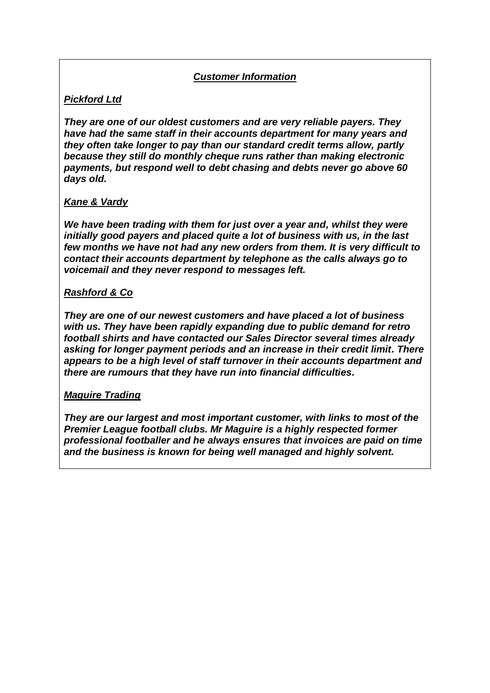### *Customer Information*

## *Pickford Ltd*

*They are one of our oldest customers and are very reliable payers. They have had the same staff in their accounts department for many years and they often take longer to pay than our standard credit terms allow, partly because they still do monthly cheque runs rather than making electronic payments, but respond well to debt chasing and debts never go above 60 days old.*

#### *Kane & Vardy*

*We have been trading with them for just over a year and, whilst they were initially good payers and placed quite a lot of business with us, in the last few months we have not had any new orders from them. It is very difficult to contact their accounts department by telephone as the calls always go to voicemail and they never respond to messages left.*

#### *Rashford & Co*

*They are one of our newest customers and have placed a lot of business with us. They have been rapidly expanding due to public demand for retro football shirts and have contacted our Sales Director several times already asking for longer payment periods and an increase in their credit limit. There appears to be a high level of staff turnover in their accounts department and there are rumours that they have run into financial difficulties.*

#### *Maguire Trading*

*They are our largest and most important customer, with links to most of the Premier League football clubs. Mr Maguire is a highly respected former professional footballer and he always ensures that invoices are paid on time and the business is known for being well managed and highly solvent.*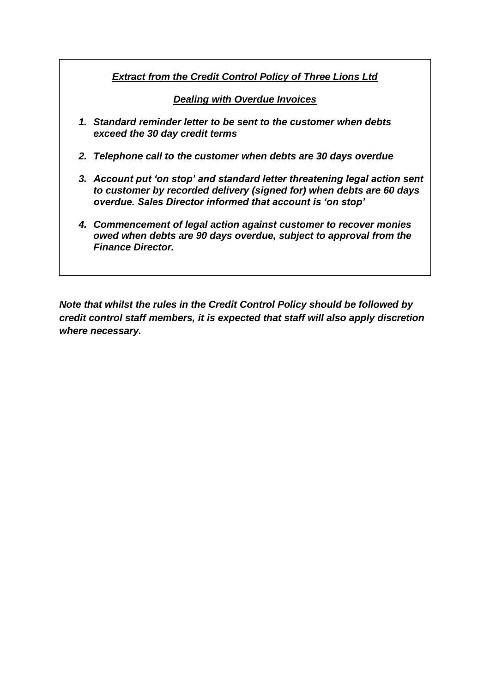## *Extract from the Credit Control Policy of Three Lions Ltd*

*Dealing with Overdue Invoices*

- *1. Standard reminder letter to be sent to the customer when debts exceed the 30 day credit terms*
- *2. Telephone call to the customer when debts are 30 days overdue*
- *3. Account put 'on stop' and standard letter threatening legal action sent to customer by recorded delivery (signed for) when debts are 60 days overdue. Sales Director informed that account is 'on stop'*
- *4. Commencement of legal action against customer to recover monies owed when debts are 90 days overdue, subject to approval from the Finance Director.*

*Note that whilst the rules in the Credit Control Policy should be followed by credit control staff members, it is expected that staff will also apply discretion where necessary.*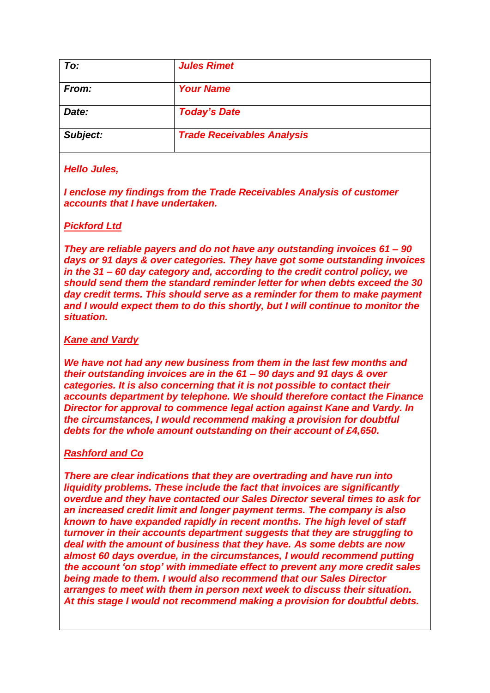| To:      | <b>Jules Rimet</b>                |  |
|----------|-----------------------------------|--|
| From:    | <b>Your Name</b>                  |  |
| Date:    | <b>Today's Date</b>               |  |
| Subject: | <b>Trade Receivables Analysis</b> |  |

#### *Hello Jules,*

*I enclose my findings from the Trade Receivables Analysis of customer accounts that I have undertaken.*

#### *Pickford Ltd*

*They are reliable payers and do not have any outstanding invoices 61 – 90 days or 91 days & over categories. They have got some outstanding invoices in the 31 – 60 day category and, according to the credit control policy, we should send them the standard reminder letter for when debts exceed the 30 day credit terms. This should serve as a reminder for them to make payment and I would expect them to do this shortly, but I will continue to monitor the situation.*

#### *Kane and Vardy*

*We have not had any new business from them in the last few months and their outstanding invoices are in the 61 – 90 days and 91 days & over categories. It is also concerning that it is not possible to contact their accounts department by telephone. We should therefore contact the Finance Director for approval to commence legal action against Kane and Vardy. In the circumstances, I would recommend making a provision for doubtful debts for the whole amount outstanding on their account of £4,650.*

#### *Rashford and Co*

*There are clear indications that they are overtrading and have run into liquidity problems. These include the fact that invoices are significantly overdue and they have contacted our Sales Director several times to ask for an increased credit limit and longer payment terms. The company is also known to have expanded rapidly in recent months. The high level of staff turnover in their accounts department suggests that they are struggling to deal with the amount of business that they have. As some debts are now almost 60 days overdue, in the circumstances, I would recommend putting the account 'on stop' with immediate effect to prevent any more credit sales being made to them. I would also recommend that our Sales Director arranges to meet with them in person next week to discuss their situation. At this stage I would not recommend making a provision for doubtful debts.*